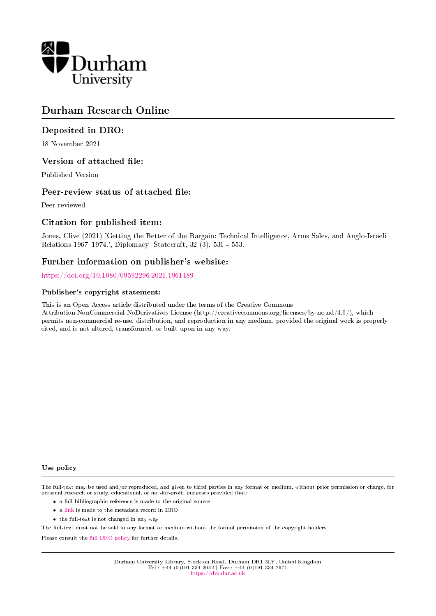

# Durham Research Online

# Deposited in DRO:

18 November 2021

# Version of attached file:

Published Version

# Peer-review status of attached file:

Peer-reviewed

# Citation for published item:

Jones, Clive (2021) 'Getting the Better of the Bargain: Technical Intelligence, Arms Sales, and Anglo-Israeli Relations 1967-1974.', Diplomacy Statecraft, 32 (3). 531 - 553.

# Further information on publisher's website:

<https://doi.org/10.1080/09592296.2021.1961489>

### Publisher's copyright statement:

This is an Open Access article distributed under the terms of the Creative Commons Attribution-NonCommercial-NoDerivatives License (http://creativecommons.org/licenses/by-nc-nd/4.0/), which permits non-commercial re-use, distribution, and reproduction in any medium, provided the original work is properly cited, and is not altered, transformed, or built upon in any way.

#### Use policy

The full-text may be used and/or reproduced, and given to third parties in any format or medium, without prior permission or charge, for personal research or study, educational, or not-for-profit purposes provided that:

- a full bibliographic reference is made to the original source
- a [link](http://dro.dur.ac.uk/34668/) is made to the metadata record in DRO
- the full-text is not changed in any way

The full-text must not be sold in any format or medium without the formal permission of the copyright holders.

Please consult the [full DRO policy](https://dro.dur.ac.uk/policies/usepolicy.pdf) for further details.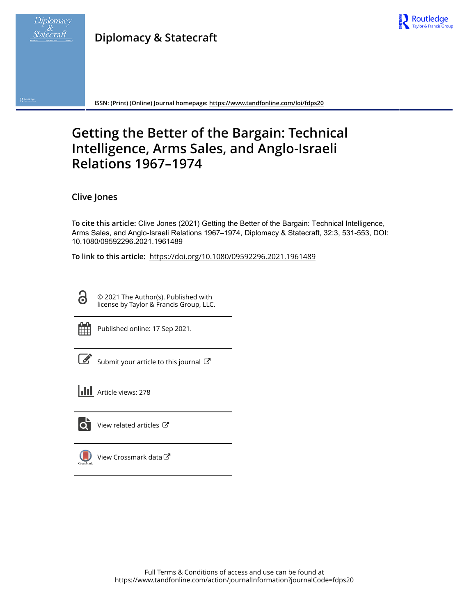

Res

# **Diplomacy & Statecraft**



**ISSN: (Print) (Online) Journal homepage:<https://www.tandfonline.com/loi/fdps20>**

# **Getting the Better of the Bargain: Technical Intelligence, Arms Sales, and Anglo-Israeli Relations 1967–1974**

**Clive Jones**

**To cite this article:** Clive Jones (2021) Getting the Better of the Bargain: Technical Intelligence, Arms Sales, and Anglo-Israeli Relations 1967–1974, Diplomacy & Statecraft, 32:3, 531-553, DOI: [10.1080/09592296.2021.1961489](https://www.tandfonline.com/action/showCitFormats?doi=10.1080/09592296.2021.1961489)

**To link to this article:** <https://doi.org/10.1080/09592296.2021.1961489>

© 2021 The Author(s). Published with license by Taylor & Francis Group, LLC.

 $\bullet$ 

Published online: 17 Sep 2021.

Submit your article to this journal

**Article views: 278** 



 $\bullet$  [View related articles](https://www.tandfonline.com/doi/mlt/10.1080/09592296.2021.1961489)  $\sigma$ 

[View Crossmark data](http://crossmark.crossref.org/dialog/?doi=10.1080/09592296.2021.1961489&domain=pdf&date_stamp=2021-09-17) $\mathbb{Z}$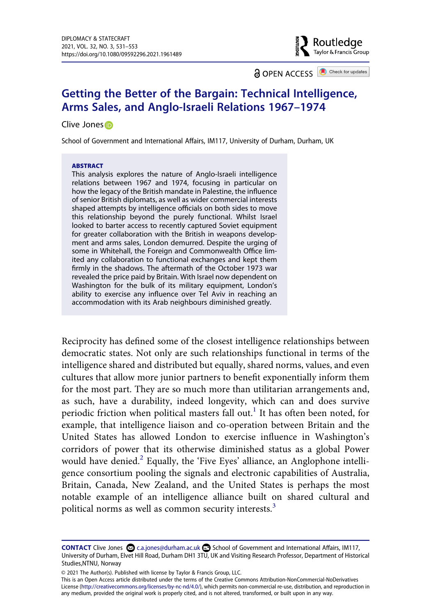**a** OPEN ACCESS **a** Check for updates

Routledge Taylor & Francis Group

# **Getting the Better of the Bargain: Technical Intelligence, Arms Sales, and Anglo-Israeli Relations 1967–1974**

### Clive Jone[s](http://orcid.org/0000-0002-7024-9413)<sup>®</sup>

School of Government and International Affairs, IM117, University of Durham, Durham, UK

#### **ABSTRACT**

This analysis explores the nature of Anglo-Israeli intelligence relations between 1967 and 1974, focusing in particular on how the legacy of the British mandate in Palestine, the influence of senior British diplomats, as well as wider commercial interests shaped attempts by intelligence officials on both sides to move this relationship beyond the purely functional. Whilst Israel looked to barter access to recently captured Soviet equipment for greater collaboration with the British in weapons development and arms sales, London demurred. Despite the urging of some in Whitehall, the Foreign and Commonwealth Office limited any collaboration to functional exchanges and kept them firmly in the shadows. The aftermath of the October 1973 war revealed the price paid by Britain. With Israel now dependent on Washington for the bulk of its military equipment, London's ability to exercise any influence over Tel Aviv in reaching an accommodation with its Arab neighbours diminished greatly.

Reciprocity has defined some of the closest intelligence relationships between democratic states. Not only are such relationships functional in terms of the intelligence shared and distributed but equally, shared norms, values, and even cultures that allow more junior partners to benefit exponentially inform them for the most part. They are so much more than utilitarian arrangements and, as such, have a durability, indeed longevity, which can and does survive periodic friction when political masters fall out.<sup>1</sup> It has often been noted, for example, that intelligence liaison and co-operation between Britain and the United States has allowed London to exercise influence in Washington's corridors of power that its otherwise diminished status as a global Power would have denied.<sup>2</sup> Equally, the 'Five Eyes' alliance, an Anglophone intelligence consortium pooling the signals and electronic capabilities of Australia, Britain, Canada, New Zealand, and the United States is perhaps the most notable example of an intelligence alliance built on shared cultural and political norms as well as common security interests.<sup>[3](#page-20-2)</sup>

© 2021 The Author(s). Published with license by Taylor & Francis Group, LLC.

This is an Open Access article distributed under the terms of the Creative Commons Attribution-NonCommercial-NoDerivatives License (http://creativecommons.org/licenses/by-nc-nd/4.0/), which permits non-commercial re-use, distribution, and reproduction in any medium, provided the original work is properly cited, and is not altered, transformed, or built upon in any way.

**CONTACT** Clive Jones  $\Omega$  c.a.jones@durham.ac.uk **c.** School of Government and International Affairs, IM117, University of Durham, Elvet Hill Road, Durham DH1 3TU, UK and Visiting Research Professor, Department of Historical Studies,NTNU, Norway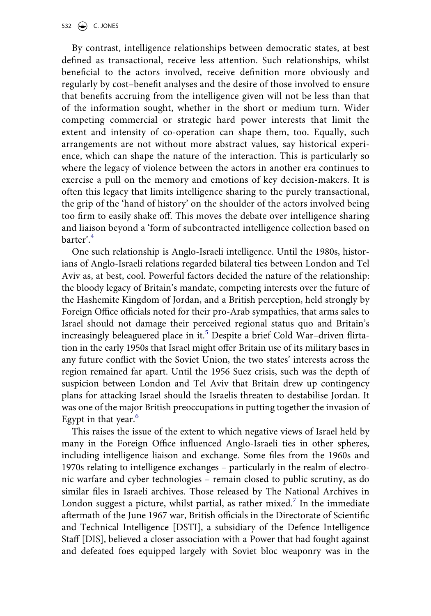By contrast, intelligence relationships between democratic states, at best defined as transactional, receive less attention. Such relationships, whilst beneficial to the actors involved, receive definition more obviously and regularly by cost–benefit analyses and the desire of those involved to ensure that benefits accruing from the intelligence given will not be less than that of the information sought, whether in the short or medium turn. Wider competing commercial or strategic hard power interests that limit the extent and intensity of co-operation can shape them, too. Equally, such arrangements are not without more abstract values, say historical experience, which can shape the nature of the interaction. This is particularly so where the legacy of violence between the actors in another era continues to exercise a pull on the memory and emotions of key decision-makers. It is often this legacy that limits intelligence sharing to the purely transactional, the grip of the 'hand of history' on the shoulder of the actors involved being too firm to easily shake off. This moves the debate over intelligence sharing and liaison beyond a 'form of subcontracted intelligence collection based on barter'.[4](#page-21-0)

One such relationship is Anglo-Israeli intelligence. Until the 1980s, historians of Anglo-Israeli relations regarded bilateral ties between London and Tel Aviv as, at best, cool. Powerful factors decided the nature of the relationship: the bloody legacy of Britain's mandate, competing interests over the future of the Hashemite Kingdom of Jordan, and a British perception, held strongly by Foreign Office officials noted for their pro-Arab sympathies, that arms sales to Israel should not damage their perceived regional status quo and Britain's increasingly beleaguered place in it.<sup>5</sup> Despite a brief Cold War-driven flirtation in the early 1950s that Israel might offer Britain use of its military bases in any future conflict with the Soviet Union, the two states' interests across the region remained far apart. Until the 1956 Suez crisis, such was the depth of suspicion between London and Tel Aviv that Britain drew up contingency plans for attacking Israel should the Israelis threaten to destabilise Jordan. It was one of the major British preoccupations in putting together the invasion of Egypt in that year. $^{\circ}$ 

This raises the issue of the extent to which negative views of Israel held by many in the Foreign Office influenced Anglo-Israeli ties in other spheres, including intelligence liaison and exchange. Some files from the 1960s and 1970s relating to intelligence exchanges – particularly in the realm of electronic warfare and cyber technologies – remain closed to public scrutiny, as do similar files in Israeli archives. Those released by The National Archives in London suggest a picture, whilst partial, as rather mixed.<sup>[7](#page-21-3)</sup> In the immediate aftermath of the June 1967 war, British officials in the Directorate of Scientific and Technical Intelligence [DSTI], a subsidiary of the Defence Intelligence Staff [DIS], believed a closer association with a Power that had fought against and defeated foes equipped largely with Soviet bloc weaponry was in the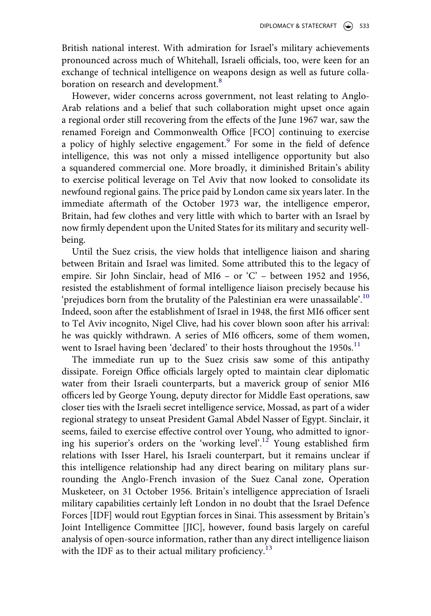DIPLOMACY & STATECRAFT  $\Rightarrow$  533

British national interest. With admiration for Israel's military achievements pronounced across much of Whitehall, Israeli officials, too, were keen for an exchange of technical intelligence on weapons design as well as future colla-boration on research and development.<sup>[8](#page-21-4)</sup>

However, wider concerns across government, not least relating to Anglo-Arab relations and a belief that such collaboration might upset once again a regional order still recovering from the effects of the June 1967 war, saw the renamed Foreign and Commonwealth Office [FCO] continuing to exercise a policy of highly selective engagement.<sup>9</sup> For some in the field of defence intelligence, this was not only a missed intelligence opportunity but also a squandered commercial one. More broadly, it diminished Britain's ability to exercise political leverage on Tel Aviv that now looked to consolidate its newfound regional gains. The price paid by London came six years later. In the immediate aftermath of the October 1973 war, the intelligence emperor, Britain, had few clothes and very little with which to barter with an Israel by now firmly dependent upon the United States for its military and security wellbeing.

Until the Suez crisis, the view holds that intelligence liaison and sharing between Britain and Israel was limited. Some attributed this to the legacy of empire. Sir John Sinclair, head of MI6 – or 'C' – between 1952 and 1956, resisted the establishment of formal intelligence liaison precisely because his 'prejudices born from the brutality of the Palestinian era were unassailable'.<sup>[10](#page-21-6)</sup> Indeed, soon after the establishment of Israel in 1948, the first MI6 officer sent to Tel Aviv incognito, Nigel Clive, had his cover blown soon after his arrival: he was quickly withdrawn. A series of MI6 officers, some of them women, went to Israel having been 'declared' to their hosts throughout the 1950s.<sup>11</sup>

The immediate run up to the Suez crisis saw some of this antipathy dissipate. Foreign Office officials largely opted to maintain clear diplomatic water from their Israeli counterparts, but a maverick group of senior MI6 officers led by George Young, deputy director for Middle East operations, saw closer ties with the Israeli secret intelligence service, Mossad, as part of a wider regional strategy to unseat President Gamal Abdel Nasser of Egypt. Sinclair, it seems, failed to exercise effective control over Young, who admitted to ignoring his superior's orders on the 'working level'.<sup>12</sup> Young established firm relations with Isser Harel, his Israeli counterpart, but it remains unclear if this intelligence relationship had any direct bearing on military plans surrounding the Anglo-French invasion of the Suez Canal zone, Operation Musketeer, on 31 October 1956. Britain's intelligence appreciation of Israeli military capabilities certainly left London in no doubt that the Israel Defence Forces [IDF] would rout Egyptian forces in Sinai. This assessment by Britain's Joint Intelligence Committee [JIC], however, found basis largely on careful analysis of open-source information, rather than any direct intelligence liaison with the IDF as to their actual military proficiency.<sup>13</sup>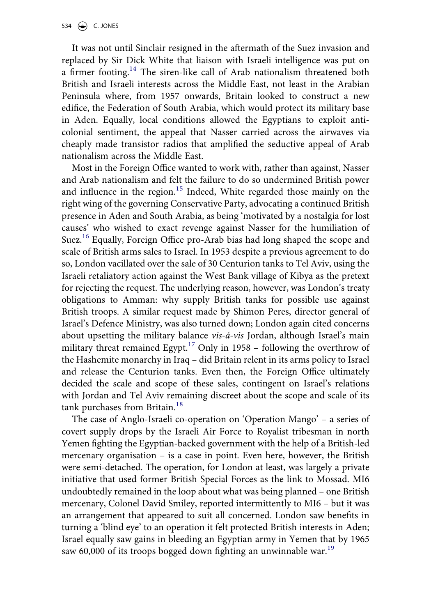It was not until Sinclair resigned in the aftermath of the Suez invasion and replaced by Sir Dick White that liaison with Israeli intelligence was put on a firmer footing.<sup>14</sup> The siren-like call of Arab nationalism threatened both British and Israeli interests across the Middle East, not least in the Arabian Peninsula where, from 1957 onwards, Britain looked to construct a new edifice, the Federation of South Arabia, which would protect its military base in Aden. Equally, local conditions allowed the Egyptians to exploit anticolonial sentiment, the appeal that Nasser carried across the airwaves via cheaply made transistor radios that amplified the seductive appeal of Arab nationalism across the Middle East.

Most in the Foreign Office wanted to work with, rather than against, Nasser and Arab nationalism and felt the failure to do so undermined British power and influence in the region.<sup>15</sup> Indeed, White regarded those mainly on the right wing of the governing Conservative Party, advocating a continued British presence in Aden and South Arabia, as being 'motivated by a nostalgia for lost causes' who wished to exact revenge against Nasser for the humiliation of Suez.<sup>[16](#page-21-12)</sup> Equally, Foreign Office pro-Arab bias had long shaped the scope and scale of British arms sales to Israel. In 1953 despite a previous agreement to do so, London vacillated over the sale of 30 Centurion tanks to Tel Aviv, using the Israeli retaliatory action against the West Bank village of Kibya as the pretext for rejecting the request. The underlying reason, however, was London's treaty obligations to Amman: why supply British tanks for possible use against British troops. A similar request made by Shimon Peres, director general of Israel's Defence Ministry, was also turned down; London again cited concerns about upsetting the military balance *vis-á-vis* Jordan, although Israel's main military threat remained Egypt.<sup>[17](#page-21-13)</sup> Only in 1958 – following the overthrow of the Hashemite monarchy in Iraq – did Britain relent in its arms policy to Israel and release the Centurion tanks. Even then, the Foreign Office ultimately decided the scale and scope of these sales, contingent on Israel's relations with Jordan and Tel Aviv remaining discreet about the scope and scale of its tank purchases from Britain.<sup>[18](#page-21-14)</sup>

The case of Anglo-Israeli co-operation on 'Operation Mango' – a series of covert supply drops by the Israeli Air Force to Royalist tribesman in north Yemen fighting the Egyptian-backed government with the help of a British-led mercenary organisation – is a case in point. Even here, however, the British were semi-detached. The operation, for London at least, was largely a private initiative that used former British Special Forces as the link to Mossad. MI6 undoubtedly remained in the loop about what was being planned – one British mercenary, Colonel David Smiley, reported intermittently to MI6 – but it was an arrangement that appeared to suit all concerned. London saw benefits in turning a 'blind eye' to an operation it felt protected British interests in Aden; Israel equally saw gains in bleeding an Egyptian army in Yemen that by 1965 saw 60,000 of its troops bogged down fighting an unwinnable war.<sup>[19](#page-21-15)</sup>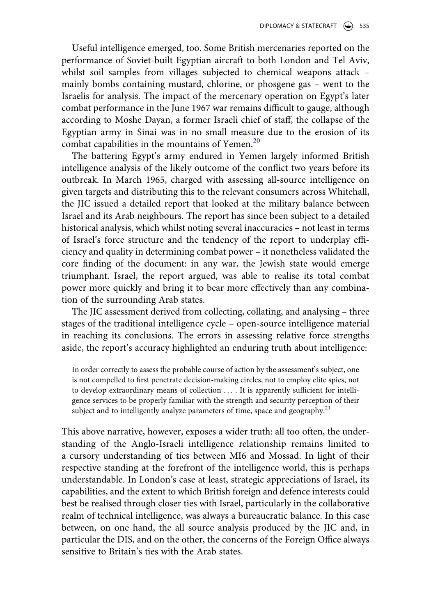Useful intelligence emerged, too. Some British mercenaries reported on the performance of Soviet-built Egyptian aircraft to both London and Tel Aviv, whilst soil samples from villages subjected to chemical weapons attack – mainly bombs containing mustard, chlorine, or phosgene gas – went to the Israelis for analysis. The impact of the mercenary operation on Egypt's later combat performance in the June 1967 war remains difficult to gauge, although according to Moshe Dayan, a former Israeli chief of staff, the collapse of the Egyptian army in Sinai was in no small measure due to the erosion of its combat capabilities in the mountains of Yemen.<sup>[20](#page-21-16)</sup>

The battering Egypt's army endured in Yemen largely informed British intelligence analysis of the likely outcome of the conflict two years before its outbreak. In March 1965, charged with assessing all-source intelligence on given targets and distributing this to the relevant consumers across Whitehall, the JIC issued a detailed report that looked at the military balance between Israel and its Arab neighbours. The report has since been subject to a detailed historical analysis, which whilst noting several inaccuracies – not least in terms of Israel's force structure and the tendency of the report to underplay efficiency and quality in determining combat power – it nonetheless validated the core finding of the document: in any war, the Jewish state would emerge triumphant. Israel, the report argued, was able to realise its total combat power more quickly and bring it to bear more effectively than any combination of the surrounding Arab states.

The JIC assessment derived from collecting, collating, and analysing – three stages of the traditional intelligence cycle – open-source intelligence material in reaching its conclusions. The errors in assessing relative force strengths aside, the report's accuracy highlighted an enduring truth about intelligence:

In order correctly to assess the probable course of action by the assessment's subject, one is not compelled to first penetrate decision-making circles, not to employ elite spies, not to develop extraordinary means of collection . . . . It is apparently sufficient for intelligence services to be properly familiar with the strength and security perception of their subject and to intelligently analyze parameters of time, space and geography.<sup>[21](#page-21-17)</sup>

This above narrative, however, exposes a wider truth: all too often, the understanding of the Anglo-Israeli intelligence relationship remains limited to a cursory understanding of ties between MI6 and Mossad. In light of their respective standing at the forefront of the intelligence world, this is perhaps understandable. In London's case at least, strategic appreciations of Israel, its capabilities, and the extent to which British foreign and defence interests could best be realised through closer ties with Israel, particularly in the collaborative realm of technical intelligence, was always a bureaucratic balance. In this case between, on one hand, the all source analysis produced by the JIC and, in particular the DIS, and on the other, the concerns of the Foreign Office always sensitive to Britain's ties with the Arab states.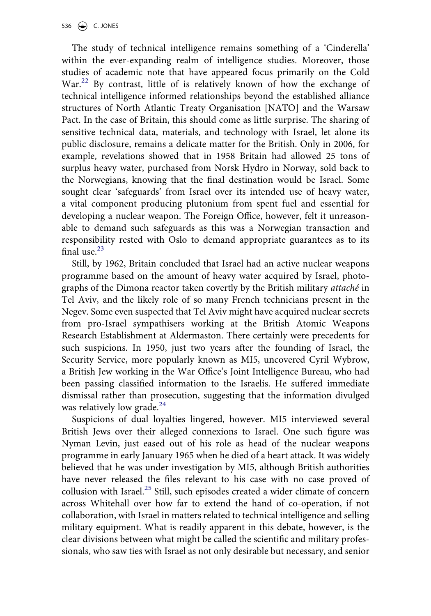The study of technical intelligence remains something of a 'Cinderella' within the ever-expanding realm of intelligence studies. Moreover, those studies of academic note that have appeared focus primarily on the Cold War.<sup>[22](#page-21-18)</sup> By contrast, little of is relatively known of how the exchange of technical intelligence informed relationships beyond the established alliance structures of North Atlantic Treaty Organisation [NATO] and the Warsaw Pact. In the case of Britain, this should come as little surprise. The sharing of sensitive technical data, materials, and technology with Israel, let alone its public disclosure, remains a delicate matter for the British. Only in 2006, for example, revelations showed that in 1958 Britain had allowed 25 tons of surplus heavy water, purchased from Norsk Hydro in Norway, sold back to the Norwegians, knowing that the final destination would be Israel. Some sought clear 'safeguards' from Israel over its intended use of heavy water, a vital component producing plutonium from spent fuel and essential for developing a nuclear weapon. The Foreign Office, however, felt it unreasonable to demand such safeguards as this was a Norwegian transaction and responsibility rested with Oslo to demand appropriate guarantees as to its final use. $23$ 

Still, by 1962, Britain concluded that Israel had an active nuclear weapons programme based on the amount of heavy water acquired by Israel, photographs of the Dimona reactor taken covertly by the British military *attaché* in Tel Aviv, and the likely role of so many French technicians present in the Negev. Some even suspected that Tel Aviv might have acquired nuclear secrets from pro-Israel sympathisers working at the British Atomic Weapons Research Establishment at Aldermaston. There certainly were precedents for such suspicions. In 1950, just two years after the founding of Israel, the Security Service, more popularly known as MI5, uncovered Cyril Wybrow, a British Jew working in the War Office's Joint Intelligence Bureau, who had been passing classified information to the Israelis. He suffered immediate dismissal rather than prosecution, suggesting that the information divulged was relatively low grade.<sup>[24](#page-21-20)</sup>

Suspicions of dual loyalties lingered, however. MI5 interviewed several British Jews over their alleged connexions to Israel. One such figure was Nyman Levin, just eased out of his role as head of the nuclear weapons programme in early January 1965 when he died of a heart attack. It was widely believed that he was under investigation by MI5, although British authorities have never released the files relevant to his case with no case proved of collusion with Israel.[25](#page-22-0) Still, such episodes created a wider climate of concern across Whitehall over how far to extend the hand of co-operation, if not collaboration, with Israel in matters related to technical intelligence and selling military equipment. What is readily apparent in this debate, however, is the clear divisions between what might be called the scientific and military professionals, who saw ties with Israel as not only desirable but necessary, and senior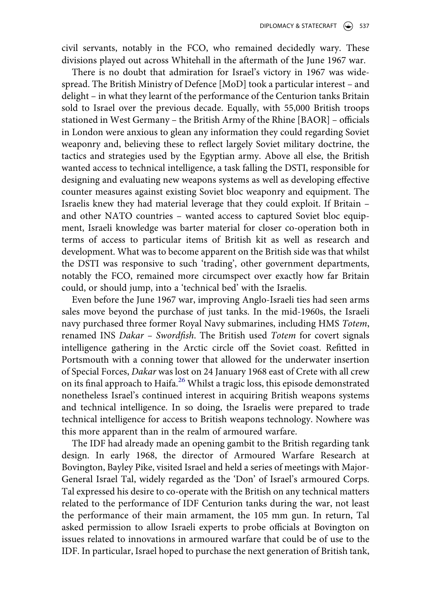civil servants, notably in the FCO, who remained decidedly wary. These divisions played out across Whitehall in the aftermath of the June 1967 war.

There is no doubt that admiration for Israel's victory in 1967 was widespread. The British Ministry of Defence [MoD] took a particular interest – and delight – in what they learnt of the performance of the Centurion tanks Britain sold to Israel over the previous decade. Equally, with 55,000 British troops stationed in West Germany – the British Army of the Rhine [BAOR] – officials in London were anxious to glean any information they could regarding Soviet weaponry and, believing these to reflect largely Soviet military doctrine, the tactics and strategies used by the Egyptian army. Above all else, the British wanted access to technical intelligence, a task falling the DSTI, responsible for designing and evaluating new weapons systems as well as developing effective counter measures against existing Soviet bloc weaponry and equipment. The Israelis knew they had material leverage that they could exploit. If Britain – and other NATO countries – wanted access to captured Soviet bloc equipment, Israeli knowledge was barter material for closer co-operation both in terms of access to particular items of British kit as well as research and development. What was to become apparent on the British side was that whilst the DSTI was responsive to such 'trading', other government departments, notably the FCO, remained more circumspect over exactly how far Britain could, or should jump, into a 'technical bed' with the Israelis.

Even before the June 1967 war, improving Anglo-Israeli ties had seen arms sales move beyond the purchase of just tanks. In the mid-1960s, the Israeli navy purchased three former Royal Navy submarines, including HMS *Totem*, renamed INS *Dakar – Swordfish*. The British used *Totem* for covert signals intelligence gathering in the Arctic circle off the Soviet coast. Refitted in Portsmouth with a conning tower that allowed for the underwater insertion of Special Forces, *Dakar* was lost on 24 January 1968 east of Crete with all crew on its final approach to Haifa.<sup>26</sup> Whilst a tragic loss, this episode demonstrated nonetheless Israel's continued interest in acquiring British weapons systems and technical intelligence. In so doing, the Israelis were prepared to trade technical intelligence for access to British weapons technology. Nowhere was this more apparent than in the realm of armoured warfare.

The IDF had already made an opening gambit to the British regarding tank design. In early 1968, the director of Armoured Warfare Research at Bovington, Bayley Pike, visited Israel and held a series of meetings with Major-General Israel Tal, widely regarded as the 'Don' of Israel's armoured Corps. Tal expressed his desire to co-operate with the British on any technical matters related to the performance of IDF Centurion tanks during the war, not least the performance of their main armament, the 105 mm gun. In return, Tal asked permission to allow Israeli experts to probe officials at Bovington on issues related to innovations in armoured warfare that could be of use to the IDF. In particular, Israel hoped to purchase the next generation of British tank,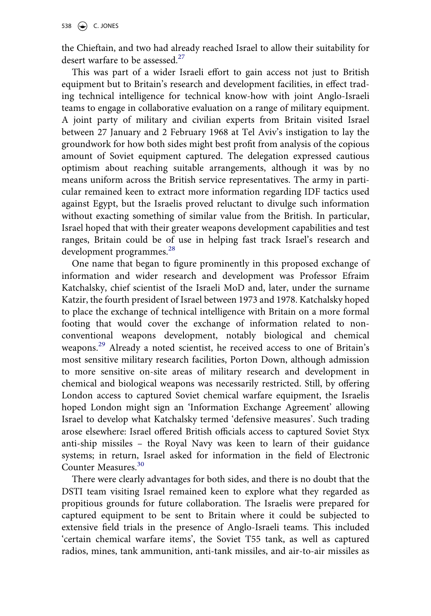the Chieftain, and two had already reached Israel to allow their suitability for desert warfare to be assessed.<sup>27</sup>

This was part of a wider Israeli effort to gain access not just to British equipment but to Britain's research and development facilities, in effect trading technical intelligence for technical know-how with joint Anglo-Israeli teams to engage in collaborative evaluation on a range of military equipment. A joint party of military and civilian experts from Britain visited Israel between 27 January and 2 February 1968 at Tel Aviv's instigation to lay the groundwork for how both sides might best profit from analysis of the copious amount of Soviet equipment captured. The delegation expressed cautious optimism about reaching suitable arrangements, although it was by no means uniform across the British service representatives. The army in particular remained keen to extract more information regarding IDF tactics used against Egypt, but the Israelis proved reluctant to divulge such information without exacting something of similar value from the British. In particular, Israel hoped that with their greater weapons development capabilities and test ranges, Britain could be of use in helping fast track Israel's research and development programmes.<sup>[28](#page-22-3)</sup>

One name that began to figure prominently in this proposed exchange of information and wider research and development was Professor Efraim Katchalsky, chief scientist of the Israeli MoD and, later, under the surname Katzir, the fourth president of Israel between 1973 and 1978. Katchalsky hoped to place the exchange of technical intelligence with Britain on a more formal footing that would cover the exchange of information related to nonconventional weapons development, notably biological and chemical weapons.<sup>[29](#page-22-4)</sup> Already a noted scientist, he received access to one of Britain's most sensitive military research facilities, Porton Down, although admission to more sensitive on-site areas of military research and development in chemical and biological weapons was necessarily restricted. Still, by offering London access to captured Soviet chemical warfare equipment, the Israelis hoped London might sign an 'Information Exchange Agreement' allowing Israel to develop what Katchalsky termed 'defensive measures'. Such trading arose elsewhere: Israel offered British officials access to captured Soviet Styx anti-ship missiles – the Royal Navy was keen to learn of their guidance systems; in return, Israel asked for information in the field of Electronic Counter Measures.<sup>30</sup>

There were clearly advantages for both sides, and there is no doubt that the DSTI team visiting Israel remained keen to explore what they regarded as propitious grounds for future collaboration. The Israelis were prepared for captured equipment to be sent to Britain where it could be subjected to extensive field trials in the presence of Anglo-Israeli teams. This included 'certain chemical warfare items', the Soviet T55 tank, as well as captured radios, mines, tank ammunition, anti-tank missiles, and air-to-air missiles as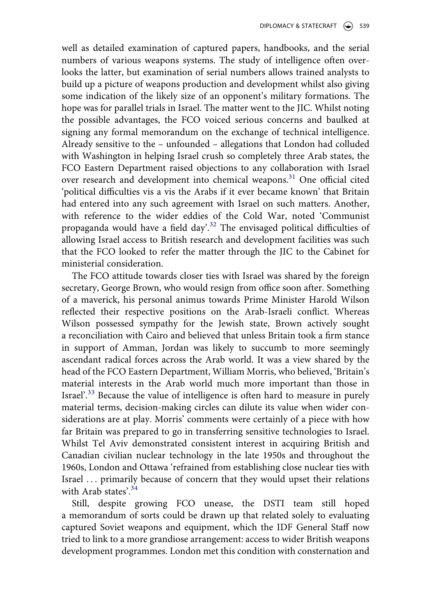well as detailed examination of captured papers, handbooks, and the serial numbers of various weapons systems. The study of intelligence often overlooks the latter, but examination of serial numbers allows trained analysts to build up a picture of weapons production and development whilst also giving some indication of the likely size of an opponent's military formations. The hope was for parallel trials in Israel. The matter went to the JIC. Whilst noting the possible advantages, the FCO voiced serious concerns and baulked at signing any formal memorandum on the exchange of technical intelligence. Already sensitive to the – unfounded – allegations that London had colluded with Washington in helping Israel crush so completely three Arab states, the FCO Eastern Department raised objections to any collaboration with Israel over research and development into chemical weapons.<sup>31</sup> One official cited 'political difficulties vis a vis the Arabs if it ever became known' that Britain had entered into any such agreement with Israel on such matters. Another, with reference to the wider eddies of the Cold War, noted 'Communist propaganda would have a field day'.<sup>[32](#page-22-7)</sup> The envisaged political difficulties of allowing Israel access to British research and development facilities was such that the FCO looked to refer the matter through the JIC to the Cabinet for ministerial consideration.

The FCO attitude towards closer ties with Israel was shared by the foreign secretary, George Brown, who would resign from office soon after. Something of a maverick, his personal animus towards Prime Minister Harold Wilson reflected their respective positions on the Arab-Israeli conflict. Whereas Wilson possessed sympathy for the Jewish state, Brown actively sought a reconciliation with Cairo and believed that unless Britain took a firm stance in support of Amman, Jordan was likely to succumb to more seemingly ascendant radical forces across the Arab world. It was a view shared by the head of the FCO Eastern Department, William Morris, who believed, 'Britain's material interests in the Arab world much more important than those in Israel'.<sup>33</sup> Because the value of intelligence is often hard to measure in purely material terms, decision-making circles can dilute its value when wider considerations are at play. Morris' comments were certainly of a piece with how far Britain was prepared to go in transferring sensitive technologies to Israel. Whilst Tel Aviv demonstrated consistent interest in acquiring British and Canadian civilian nuclear technology in the late 1950s and throughout the 1960s, London and Ottawa 'refrained from establishing close nuclear ties with Israel . . . primarily because of concern that they would upset their relations with Arab states'.<sup>[34](#page-22-9)</sup>

Still, despite growing FCO unease, the DSTI team still hoped a memorandum of sorts could be drawn up that related solely to evaluating captured Soviet weapons and equipment, which the IDF General Staff now tried to link to a more grandiose arrangement: access to wider British weapons development programmes. London met this condition with consternation and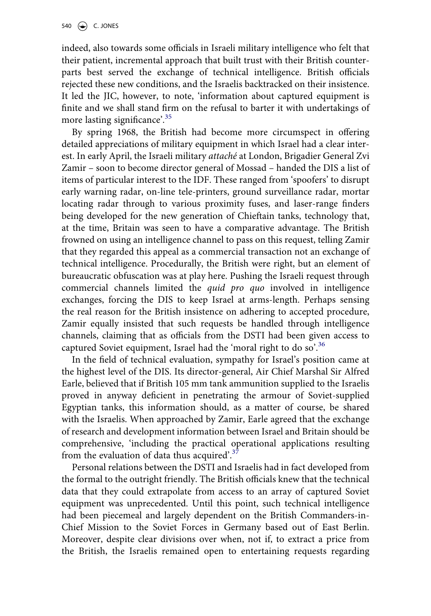indeed, also towards some officials in Israeli military intelligence who felt that their patient, incremental approach that built trust with their British counterparts best served the exchange of technical intelligence. British officials rejected these new conditions, and the Israelis backtracked on their insistence. It led the JIC, however, to note, 'information about captured equipment is finite and we shall stand firm on the refusal to barter it with undertakings of more lasting significance'.<sup>[35](#page-22-10)</sup>

By spring 1968, the British had become more circumspect in offering detailed appreciations of military equipment in which Israel had a clear interest. In early April, the Israeli military *attaché* at London, Brigadier General Zvi Zamir – soon to become director general of Mossad – handed the DIS a list of items of particular interest to the IDF. These ranged from 'spoofers' to disrupt early warning radar, on-line tele-printers, ground surveillance radar, mortar locating radar through to various proximity fuses, and laser-range finders being developed for the new generation of Chieftain tanks, technology that, at the time, Britain was seen to have a comparative advantage. The British frowned on using an intelligence channel to pass on this request, telling Zamir that they regarded this appeal as a commercial transaction not an exchange of technical intelligence. Procedurally, the British were right, but an element of bureaucratic obfuscation was at play here. Pushing the Israeli request through commercial channels limited the *quid pro quo* involved in intelligence exchanges, forcing the DIS to keep Israel at arms-length. Perhaps sensing the real reason for the British insistence on adhering to accepted procedure, Zamir equally insisted that such requests be handled through intelligence channels, claiming that as officials from the DSTI had been given access to captured Soviet equipment, Israel had the 'moral right to do so'.<sup>[36](#page-22-11)</sup>

In the field of technical evaluation, sympathy for Israel's position came at the highest level of the DIS. Its director-general, Air Chief Marshal Sir Alfred Earle, believed that if British 105 mm tank ammunition supplied to the Israelis proved in anyway deficient in penetrating the armour of Soviet-supplied Egyptian tanks, this information should, as a matter of course, be shared with the Israelis. When approached by Zamir, Earle agreed that the exchange of research and development information between Israel and Britain should be comprehensive, 'including the practical operational applications resulting from the evaluation of data thus acquired'[.37](#page-22-12)

Personal relations between the DSTI and Israelis had in fact developed from the formal to the outright friendly. The British officials knew that the technical data that they could extrapolate from access to an array of captured Soviet equipment was unprecedented. Until this point, such technical intelligence had been piecemeal and largely dependent on the British Commanders-in-Chief Mission to the Soviet Forces in Germany based out of East Berlin. Moreover, despite clear divisions over when, not if, to extract a price from the British, the Israelis remained open to entertaining requests regarding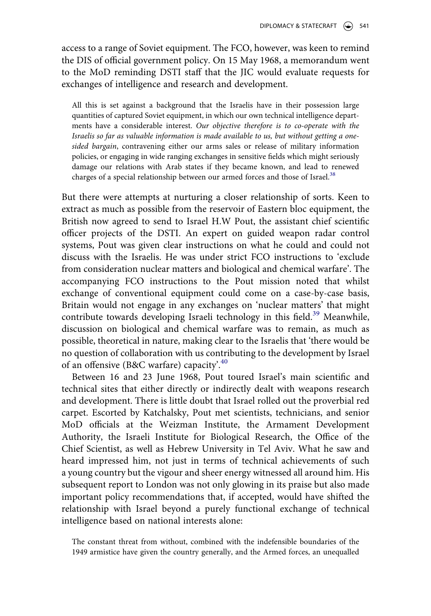access to a range of Soviet equipment. The FCO, however, was keen to remind the DIS of official government policy. On 15 May 1968, a memorandum went to the MoD reminding DSTI staff that the JIC would evaluate requests for exchanges of intelligence and research and development.

All this is set against a background that the Israelis have in their possession large quantities of captured Soviet equipment, in which our own technical intelligence departments have a considerable interest. *Our objective therefore is to co-operate with the Israelis so far as valuable information is made available to us, but without getting a onesided bargain*, contravening either our arms sales or release of military information policies, or engaging in wide ranging exchanges in sensitive fields which might seriously damage our relations with Arab states if they became known, and lead to renewed charges of a special relationship between our armed forces and those of Israel.<sup>38</sup>

But there were attempts at nurturing a closer relationship of sorts. Keen to extract as much as possible from the reservoir of Eastern bloc equipment, the British now agreed to send to Israel H.W Pout, the assistant chief scientific officer projects of the DSTI. An expert on guided weapon radar control systems, Pout was given clear instructions on what he could and could not discuss with the Israelis. He was under strict FCO instructions to 'exclude from consideration nuclear matters and biological and chemical warfare'. The accompanying FCO instructions to the Pout mission noted that whilst exchange of conventional equipment could come on a case-by-case basis, Britain would not engage in any exchanges on 'nuclear matters' that might contribute towards developing Israeli technology in this field.<sup>39</sup> Meanwhile, discussion on biological and chemical warfare was to remain, as much as possible, theoretical in nature, making clear to the Israelis that 'there would be no question of collaboration with us contributing to the development by Israel of an offensive (B&C warfare) capacity'.<sup>[40](#page-22-15)</sup>

Between 16 and 23 June 1968, Pout toured Israel's main scientific and technical sites that either directly or indirectly dealt with weapons research and development. There is little doubt that Israel rolled out the proverbial red carpet. Escorted by Katchalsky, Pout met scientists, technicians, and senior MoD officials at the Weizman Institute, the Armament Development Authority, the Israeli Institute for Biological Research, the Office of the Chief Scientist, as well as Hebrew University in Tel Aviv. What he saw and heard impressed him, not just in terms of technical achievements of such a young country but the vigour and sheer energy witnessed all around him. His subsequent report to London was not only glowing in its praise but also made important policy recommendations that, if accepted, would have shifted the relationship with Israel beyond a purely functional exchange of technical intelligence based on national interests alone:

The constant threat from without, combined with the indefensible boundaries of the 1949 armistice have given the country generally, and the Armed forces, an unequalled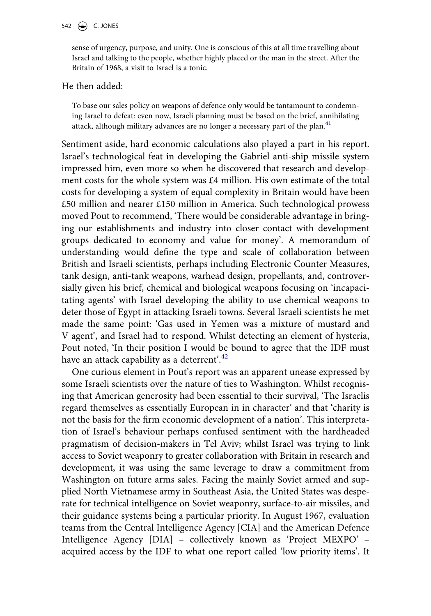### 542  $\left(\bigcirc\right)$  C. JONES

sense of urgency, purpose, and unity. One is conscious of this at all time travelling about Israel and talking to the people, whether highly placed or the man in the street. After the Britain of 1968, a visit to Israel is a tonic.

### He then added:

To base our sales policy on weapons of defence only would be tantamount to condemning Israel to defeat: even now, Israeli planning must be based on the brief, annihilating attack, although military advances are no longer a necessary part of the plan.<sup>41</sup>

Sentiment aside, hard economic calculations also played a part in his report. Israel's technological feat in developing the Gabriel anti-ship missile system impressed him, even more so when he discovered that research and development costs for the whole system was £4 million. His own estimate of the total costs for developing a system of equal complexity in Britain would have been £50 million and nearer £150 million in America. Such technological prowess moved Pout to recommend, 'There would be considerable advantage in bringing our establishments and industry into closer contact with development groups dedicated to economy and value for money'. A memorandum of understanding would define the type and scale of collaboration between British and Israeli scientists, perhaps including Electronic Counter Measures, tank design, anti-tank weapons, warhead design, propellants, and, controversially given his brief, chemical and biological weapons focusing on 'incapacitating agents' with Israel developing the ability to use chemical weapons to deter those of Egypt in attacking Israeli towns. Several Israeli scientists he met made the same point: 'Gas used in Yemen was a mixture of mustard and V agent', and Israel had to respond. Whilst detecting an element of hysteria, Pout noted, 'In their position I would be bound to agree that the IDF must have an attack capability as a deterrent'.<sup>[42](#page-22-17)</sup>

One curious element in Pout's report was an apparent unease expressed by some Israeli scientists over the nature of ties to Washington. Whilst recognising that American generosity had been essential to their survival, 'The Israelis regard themselves as essentially European in in character' and that 'charity is not the basis for the firm economic development of a nation'. This interpretation of Israel's behaviour perhaps confused sentiment with the hardheaded pragmatism of decision-makers in Tel Aviv; whilst Israel was trying to link access to Soviet weaponry to greater collaboration with Britain in research and development, it was using the same leverage to draw a commitment from Washington on future arms sales. Facing the mainly Soviet armed and supplied North Vietnamese army in Southeast Asia, the United States was desperate for technical intelligence on Soviet weaponry, surface-to-air missiles, and their guidance systems being a particular priority. In August 1967, evaluation teams from the Central Intelligence Agency [CIA] and the American Defence Intelligence Agency [DIA] – collectively known as 'Project MEXPO' – acquired access by the IDF to what one report called 'low priority items'. It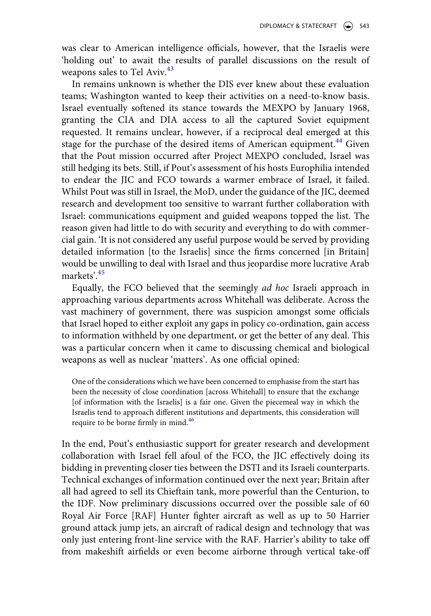was clear to American intelligence officials, however, that the Israelis were 'holding out' to await the results of parallel discussions on the result of weapons sales to Tel Aviv.<sup>[43](#page-22-18)</sup>

In remains unknown is whether the DIS ever knew about these evaluation teams; Washington wanted to keep their activities on a need-to-know basis. Israel eventually softened its stance towards the MEXPO by January 1968, granting the CIA and DIA access to all the captured Soviet equipment requested. It remains unclear, however, if a reciprocal deal emerged at this stage for the purchase of the desired items of American equipment.<sup>[44](#page-23-0)</sup> Given that the Pout mission occurred after Project MEXPO concluded, Israel was still hedging its bets. Still, if Pout's assessment of his hosts Europhilia intended to endear the JIC and FCO towards a warmer embrace of Israel, it failed. Whilst Pout was still in Israel, the MoD, under the guidance of the JIC, deemed research and development too sensitive to warrant further collaboration with Israel: communications equipment and guided weapons topped the list. The reason given had little to do with security and everything to do with commercial gain. 'It is not considered any useful purpose would be served by providing detailed information [to the Israelis] since the firms concerned [in Britain] would be unwilling to deal with Israel and thus jeopardise more lucrative Arab markets'[.45](#page-23-1)

Equally, the FCO believed that the seemingly *ad hoc* Israeli approach in approaching various departments across Whitehall was deliberate. Across the vast machinery of government, there was suspicion amongst some officials that Israel hoped to either exploit any gaps in policy co-ordination, gain access to information withheld by one department, or get the better of any deal. This was a particular concern when it came to discussing chemical and biological weapons as well as nuclear 'matters'. As one official opined:

One of the considerations which we have been concerned to emphasise from the start has been the necessity of close coordination [across Whitehall] to ensure that the exchange [of information with the Israelis] is a fair one. Given the piecemeal way in which the Israelis tend to approach different institutions and departments, this consideration will require to be borne firmly in mind.<sup>46</sup>

In the end, Pout's enthusiastic support for greater research and development collaboration with Israel fell afoul of the FCO, the JIC effectively doing its bidding in preventing closer ties between the DSTI and its Israeli counterparts. Technical exchanges of information continued over the next year; Britain after all had agreed to sell its Chieftain tank, more powerful than the Centurion, to the IDF. Now preliminary discussions occurred over the possible sale of 60 Royal Air Force [RAF] Hunter fighter aircraft as well as up to 50 Harrier ground attack jump jets, an aircraft of radical design and technology that was only just entering front-line service with the RAF. Harrier's ability to take off from makeshift airfields or even become airborne through vertical take-off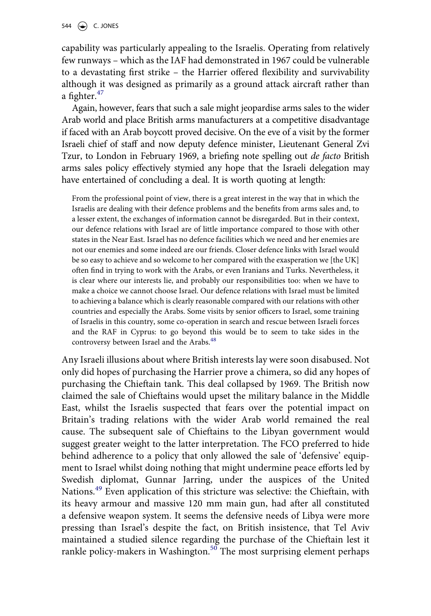capability was particularly appealing to the Israelis. Operating from relatively few runways – which as the IAF had demonstrated in 1967 could be vulnerable to a devastating first strike – the Harrier offered flexibility and survivability although it was designed as primarily as a ground attack aircraft rather than a fighter. $47$ 

Again, however, fears that such a sale might jeopardise arms sales to the wider Arab world and place British arms manufacturers at a competitive disadvantage if faced with an Arab boycott proved decisive. On the eve of a visit by the former Israeli chief of staff and now deputy defence minister, Lieutenant General Zvi Tzur, to London in February 1969, a briefing note spelling out *de facto* British arms sales policy effectively stymied any hope that the Israeli delegation may have entertained of concluding a deal. It is worth quoting at length:

From the professional point of view, there is a great interest in the way that in which the Israelis are dealing with their defence problems and the benefits from arms sales and, to a lesser extent, the exchanges of information cannot be disregarded. But in their context, our defence relations with Israel are of little importance compared to those with other states in the Near East. Israel has no defence facilities which we need and her enemies are not our enemies and some indeed are our friends. Closer defence links with Israel would be so easy to achieve and so welcome to her compared with the exasperation we [the UK] often find in trying to work with the Arabs, or even Iranians and Turks. Nevertheless, it is clear where our interests lie, and probably our responsibilities too: when we have to make a choice we cannot choose Israel. Our defence relations with Israel must be limited to achieving a balance which is clearly reasonable compared with our relations with other countries and especially the Arabs. Some visits by senior officers to Israel, some training of Israelis in this country, some co-operation in search and rescue between Israeli forces and the RAF in Cyprus: to go beyond this would be to seem to take sides in the controversy between Israel and the Arabs.<sup>[48](#page-23-4)</sup>

Any Israeli illusions about where British interests lay were soon disabused. Not only did hopes of purchasing the Harrier prove a chimera, so did any hopes of purchasing the Chieftain tank. This deal collapsed by 1969. The British now claimed the sale of Chieftains would upset the military balance in the Middle East, whilst the Israelis suspected that fears over the potential impact on Britain's trading relations with the wider Arab world remained the real cause. The subsequent sale of Chieftains to the Libyan government would suggest greater weight to the latter interpretation. The FCO preferred to hide behind adherence to a policy that only allowed the sale of 'defensive' equipment to Israel whilst doing nothing that might undermine peace efforts led by Swedish diplomat, Gunnar Jarring, under the auspices of the United Nations[.49](#page-23-5) Even application of this stricture was selective: the Chieftain, with its heavy armour and massive 120 mm main gun, had after all constituted a defensive weapon system. It seems the defensive needs of Libya were more pressing than Israel's despite the fact, on British insistence, that Tel Aviv maintained a studied silence regarding the purchase of the Chieftain lest it rankle policy-makers in Washington.<sup>50</sup> The most surprising element perhaps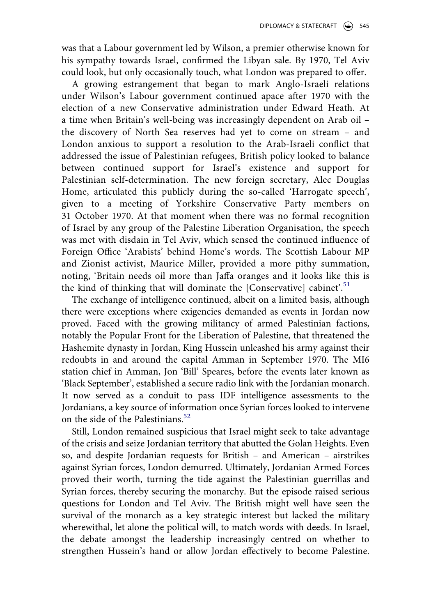was that a Labour government led by Wilson, a premier otherwise known for his sympathy towards Israel, confirmed the Libyan sale. By 1970, Tel Aviv could look, but only occasionally touch, what London was prepared to offer.

A growing estrangement that began to mark Anglo-Israeli relations under Wilson's Labour government continued apace after 1970 with the election of a new Conservative administration under Edward Heath. At a time when Britain's well-being was increasingly dependent on Arab oil – the discovery of North Sea reserves had yet to come on stream – and London anxious to support a resolution to the Arab-Israeli conflict that addressed the issue of Palestinian refugees, British policy looked to balance between continued support for Israel's existence and support for Palestinian self-determination. The new foreign secretary, Alec Douglas Home, articulated this publicly during the so-called 'Harrogate speech', given to a meeting of Yorkshire Conservative Party members on 31 October 1970. At that moment when there was no formal recognition of Israel by any group of the Palestine Liberation Organisation, the speech was met with disdain in Tel Aviv, which sensed the continued influence of Foreign Office 'Arabists' behind Home's words. The Scottish Labour MP and Zionist activist, Maurice Miller, provided a more pithy summation, noting, 'Britain needs oil more than Jaffa oranges and it looks like this is the kind of thinking that will dominate the [Conservative] cabinet'.<sup>[51](#page-23-7)</sup>

The exchange of intelligence continued, albeit on a limited basis, although there were exceptions where exigencies demanded as events in Jordan now proved. Faced with the growing militancy of armed Palestinian factions, notably the Popular Front for the Liberation of Palestine, that threatened the Hashemite dynasty in Jordan, King Hussein unleashed his army against their redoubts in and around the capital Amman in September 1970. The MI6 station chief in Amman, Jon 'Bill' Speares, before the events later known as 'Black September', established a secure radio link with the Jordanian monarch. It now served as a conduit to pass IDF intelligence assessments to the Jordanians, a key source of information once Syrian forces looked to intervene on the side of the Palestinians.<sup>[52](#page-23-8)</sup>

Still, London remained suspicious that Israel might seek to take advantage of the crisis and seize Jordanian territory that abutted the Golan Heights. Even so, and despite Jordanian requests for British – and American – airstrikes against Syrian forces, London demurred. Ultimately, Jordanian Armed Forces proved their worth, turning the tide against the Palestinian guerrillas and Syrian forces, thereby securing the monarchy. But the episode raised serious questions for London and Tel Aviv. The British might well have seen the survival of the monarch as a key strategic interest but lacked the military wherewithal, let alone the political will, to match words with deeds. In Israel, the debate amongst the leadership increasingly centred on whether to strengthen Hussein's hand or allow Jordan effectively to become Palestine.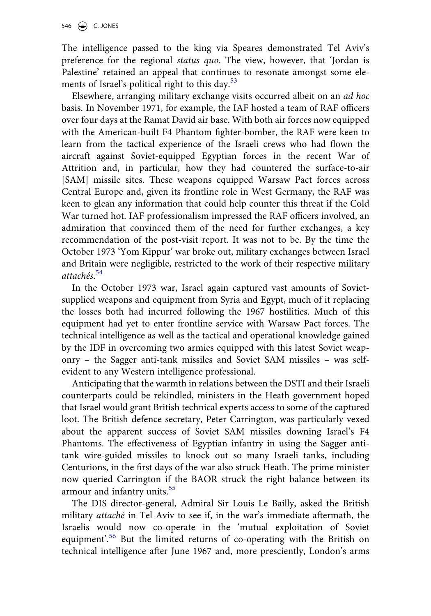The intelligence passed to the king via Speares demonstrated Tel Aviv's preference for the regional *status quo*. The view, however, that 'Jordan is Palestine' retained an appeal that continues to resonate amongst some elements of Israel's political right to this day.<sup>53</sup>

Elsewhere, arranging military exchange visits occurred albeit on an *ad hoc*  basis. In November 1971, for example, the IAF hosted a team of RAF officers over four days at the Ramat David air base. With both air forces now equipped with the American-built F4 Phantom fighter-bomber, the RAF were keen to learn from the tactical experience of the Israeli crews who had flown the aircraft against Soviet-equipped Egyptian forces in the recent War of Attrition and, in particular, how they had countered the surface-to-air [SAM] missile sites. These weapons equipped Warsaw Pact forces across Central Europe and, given its frontline role in West Germany, the RAF was keen to glean any information that could help counter this threat if the Cold War turned hot. IAF professionalism impressed the RAF officers involved, an admiration that convinced them of the need for further exchanges, a key recommendation of the post-visit report. It was not to be. By the time the October 1973 'Yom Kippur' war broke out, military exchanges between Israel and Britain were negligible, restricted to the work of their respective military *attachés*. [54](#page-23-10)

In the October 1973 war, Israel again captured vast amounts of Sovietsupplied weapons and equipment from Syria and Egypt, much of it replacing the losses both had incurred following the 1967 hostilities. Much of this equipment had yet to enter frontline service with Warsaw Pact forces. The technical intelligence as well as the tactical and operational knowledge gained by the IDF in overcoming two armies equipped with this latest Soviet weaponry – the Sagger anti-tank missiles and Soviet SAM missiles – was selfevident to any Western intelligence professional.

Anticipating that the warmth in relations between the DSTI and their Israeli counterparts could be rekindled, ministers in the Heath government hoped that Israel would grant British technical experts access to some of the captured loot. The British defence secretary, Peter Carrington, was particularly vexed about the apparent success of Soviet SAM missiles downing Israel's F4 Phantoms. The effectiveness of Egyptian infantry in using the Sagger antitank wire-guided missiles to knock out so many Israeli tanks, including Centurions, in the first days of the war also struck Heath. The prime minister now queried Carrington if the BAOR struck the right balance between its armour and infantry units.<sup>[55](#page-23-11)</sup>

The DIS director-general, Admiral Sir Louis Le Bailly, asked the British military *attaché* in Tel Aviv to see if, in the war's immediate aftermath, the Israelis would now co-operate in the 'mutual exploitation of Soviet equipment<sup>'.56</sup> But the limited returns of co-operating with the British on technical intelligence after June 1967 and, more presciently, London's arms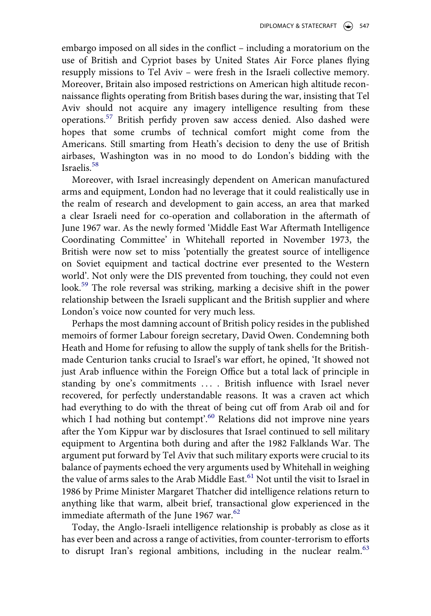embargo imposed on all sides in the conflict – including a moratorium on the use of British and Cypriot bases by United States Air Force planes flying resupply missions to Tel Aviv – were fresh in the Israeli collective memory. Moreover, Britain also imposed restrictions on American high altitude reconnaissance flights operating from British bases during the war, insisting that Tel Aviv should not acquire any imagery intelligence resulting from these operations.[57](#page-23-13) British perfidy proven saw access denied. Also dashed were hopes that some crumbs of technical comfort might come from the Americans. Still smarting from Heath's decision to deny the use of British airbases, Washington was in no mood to do London's bidding with the Israelis.<sup>[58](#page-23-14)</sup>

Moreover, with Israel increasingly dependent on American manufactured arms and equipment, London had no leverage that it could realistically use in the realm of research and development to gain access, an area that marked a clear Israeli need for co-operation and collaboration in the aftermath of June 1967 war. As the newly formed 'Middle East War Aftermath Intelligence Coordinating Committee' in Whitehall reported in November 1973, the British were now set to miss 'potentially the greatest source of intelligence on Soviet equipment and tactical doctrine ever presented to the Western world'. Not only were the DIS prevented from touching, they could not even look.[59](#page-23-15) The role reversal was striking, marking a decisive shift in the power relationship between the Israeli supplicant and the British supplier and where London's voice now counted for very much less.

Perhaps the most damning account of British policy resides in the published memoirs of former Labour foreign secretary, David Owen. Condemning both Heath and Home for refusing to allow the supply of tank shells for the Britishmade Centurion tanks crucial to Israel's war effort, he opined, 'It showed not just Arab influence within the Foreign Office but a total lack of principle in standing by one's commitments .... British influence with Israel never recovered, for perfectly understandable reasons. It was a craven act which had everything to do with the threat of being cut off from Arab oil and for which I had nothing but contempt'.<sup>[60](#page-23-16)</sup> Relations did not improve nine years after the Yom Kippur war by disclosures that Israel continued to sell military equipment to Argentina both during and after the 1982 Falklands War. The argument put forward by Tel Aviv that such military exports were crucial to its balance of payments echoed the very arguments used by Whitehall in weighing the value of arms sales to the Arab Middle East.<sup>[61](#page-23-17)</sup> Not until the visit to Israel in 1986 by Prime Minister Margaret Thatcher did intelligence relations return to anything like that warm, albeit brief, transactional glow experienced in the immediate aftermath of the June 1967 war. $62$ 

Today, the Anglo-Israeli intelligence relationship is probably as close as it has ever been and across a range of activities, from counter-terrorism to efforts to disrupt Iran's regional ambitions, including in the nuclear realm. $63$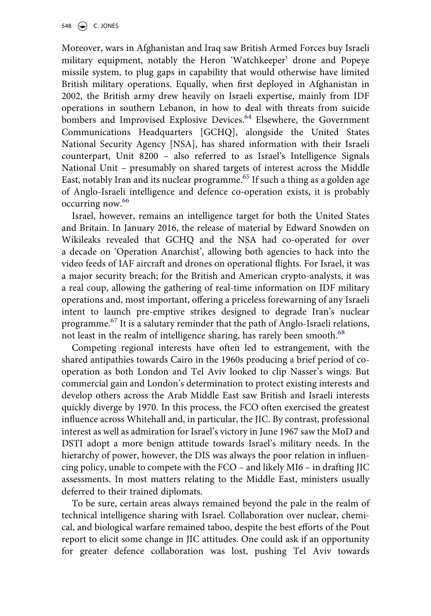Moreover, wars in Afghanistan and Iraq saw British Armed Forces buy Israeli military equipment, notably the Heron 'Watchkeeper' drone and Popeye missile system, to plug gaps in capability that would otherwise have limited British military operations. Equally, when first deployed in Afghanistan in 2002, the British army drew heavily on Israeli expertise, mainly from IDF operations in southern Lebanon, in how to deal with threats from suicide bombers and Improvised Explosive Devices.<sup>[64](#page-23-20)</sup> Elsewhere, the Government Communications Headquarters [GCHQ], alongside the United States National Security Agency [NSA], has shared information with their Israeli counterpart, Unit 8200 – also referred to as Israel's Intelligence Signals National Unit – presumably on shared targets of interest across the Middle East, notably Iran and its nuclear programme.<sup>65</sup> If such a thing as a golden age of Anglo-Israeli intelligence and defence co-operation exists, it is probably occurring now.<sup>[66](#page-24-0)</sup>

Israel, however, remains an intelligence target for both the United States and Britain. In January 2016, the release of material by Edward Snowden on Wikileaks revealed that GCHQ and the NSA had co-operated for over a decade on 'Operation Anarchist', allowing both agencies to hack into the video feeds of IAF aircraft and drones on operational flights. For Israel, it was a major security breach; for the British and American crypto-analysts, it was a real coup, allowing the gathering of real-time information on IDF military operations and, most important, offering a priceless forewarning of any Israeli intent to launch pre-emptive strikes designed to degrade Iran's nuclear programme.<sup>[67](#page-24-1)</sup> It is a salutary reminder that the path of Anglo-Israeli relations, not least in the realm of intelligence sharing, has rarely been smooth.<sup>[68](#page-24-2)</sup>

Competing regional interests have often led to estrangement, with the shared antipathies towards Cairo in the 1960s producing a brief period of cooperation as both London and Tel Aviv looked to clip Nasser's wings. But commercial gain and London's determination to protect existing interests and develop others across the Arab Middle East saw British and Israeli interests quickly diverge by 1970. In this process, the FCO often exercised the greatest influence across Whitehall and, in particular, the JIC. By contrast, professional interest as well as admiration for Israel's victory in June 1967 saw the MoD and DSTI adopt a more benign attitude towards Israel's military needs. In the hierarchy of power, however, the DIS was always the poor relation in influencing policy, unable to compete with the FCO – and likely MI6 – in drafting JIC assessments. In most matters relating to the Middle East, ministers usually deferred to their trained diplomats.

To be sure, certain areas always remained beyond the pale in the realm of technical intelligence sharing with Israel. Collaboration over nuclear, chemical, and biological warfare remained taboo, despite the best efforts of the Pout report to elicit some change in JIC attitudes. One could ask if an opportunity for greater defence collaboration was lost, pushing Tel Aviv towards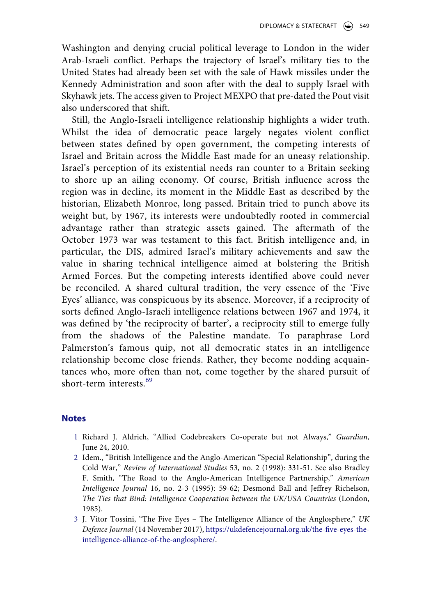Washington and denying crucial political leverage to London in the wider Arab-Israeli conflict. Perhaps the trajectory of Israel's military ties to the United States had already been set with the sale of Hawk missiles under the Kennedy Administration and soon after with the deal to supply Israel with Skyhawk jets. The access given to Project MEXPO that pre-dated the Pout visit also underscored that shift.

Still, the Anglo-Israeli intelligence relationship highlights a wider truth. Whilst the idea of democratic peace largely negates violent conflict between states defined by open government, the competing interests of Israel and Britain across the Middle East made for an uneasy relationship. Israel's perception of its existential needs ran counter to a Britain seeking to shore up an ailing economy. Of course, British influence across the region was in decline, its moment in the Middle East as described by the historian, Elizabeth Monroe, long passed. Britain tried to punch above its weight but, by 1967, its interests were undoubtedly rooted in commercial advantage rather than strategic assets gained. The aftermath of the October 1973 war was testament to this fact. British intelligence and, in particular, the DIS, admired Israel's military achievements and saw the value in sharing technical intelligence aimed at bolstering the British Armed Forces. But the competing interests identified above could never be reconciled. A shared cultural tradition, the very essence of the 'Five Eyes' alliance, was conspicuous by its absence. Moreover, if a reciprocity of sorts defined Anglo-Israeli intelligence relations between 1967 and 1974, it was defined by 'the reciprocity of barter', a reciprocity still to emerge fully from the shadows of the Palestine mandate. To paraphrase Lord Palmerston's famous quip, not all democratic states in an intelligence relationship become close friends. Rather, they become nodding acquaintances who, more often than not, come together by the shared pursuit of short-term interests.<sup>[69](#page-24-3)</sup>

### **Notes**

- <span id="page-20-0"></span>1 Richard J. Aldrich, "Allied Codebreakers Co-operate but not Always," *Guardian*, June 24, 2010.
- <span id="page-20-1"></span>2 Idem., "British Intelligence and the Anglo-American "Special Relationship", during the Cold War," *Review of International Studies* 53, no. 2 (1998): 331-51. See also Bradley F. Smith, "The Road to the Anglo-American Intelligence Partnership," *American Intelligence Journal* 16, no. 2-3 (1995): 59-62; Desmond Ball and Jeffrey Richelson, *The Ties that Bind: Intelligence Cooperation between the UK/USA Countries* (London, 1985).
- <span id="page-20-2"></span>3 J. Vitor Tossini, "The Five Eyes – The Intelligence Alliance of the Anglosphere," *UK Defence Journal* (14 November 2017), [https://ukdefencejournal.org.uk/the-five-eyes-the](https://ukdefencejournal.org.uk/the-five-eyes-the-intelligence-alliance-of-the-anglosphere/)[intelligence-alliance-of-the-anglosphere/.](https://ukdefencejournal.org.uk/the-five-eyes-the-intelligence-alliance-of-the-anglosphere/)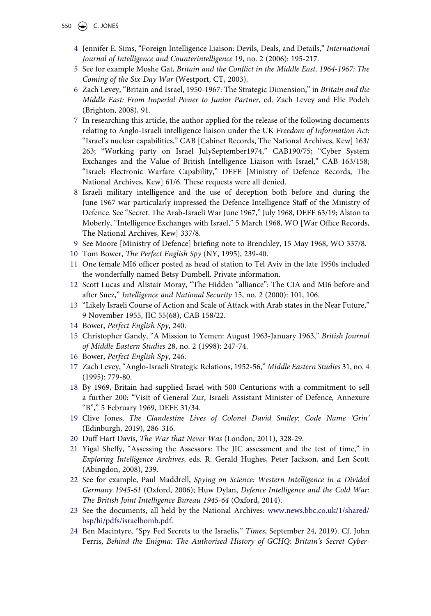550  $\left(\bigcirc \right)$  C. JONES

- <span id="page-21-0"></span>4 Jennifer E. Sims, "Foreign Intelligence Liaison: Devils, Deals, and Details," *International Journal of Intelligence and Counterintelligence* 19, no. 2 (2006): 195-217.
- <span id="page-21-1"></span>5 See for example Moshe Gat, *Britain and the Conflict in the Middle East, 1964-1967: The Coming of the Six-Day War* (Westport, CT, 2003).
- <span id="page-21-2"></span>6 Zach Levey, "Britain and Israel, 1950-1967: The Strategic Dimension," in *Britain and the Middle East: From Imperial Power to Junior Partner*, ed. Zach Levey and Elie Podeh (Brighton, 2008), 91.
- <span id="page-21-3"></span>7 In researching this article, the author applied for the release of the following documents relating to Anglo-Israeli intelligence liaison under the UK *Freedom of Information Act*: "Israel's nuclear capabilities," CAB [Cabinet Records, The National Archives, Kew] 163/ 263; "Working party on Israel JulySeptember1974," CAB190/75; "Cyber System Exchanges and the Value of British Intelligence Liaison with Israel," CAB 163/158; "Israel: Electronic Warfare Capability," DEFE [Ministry of Defence Records, The National Archives, Kew] 61/6. These requests were all denied.
- <span id="page-21-4"></span>8 Israeli military intelligence and the use of deception both before and during the June 1967 war particularly impressed the Defence Intelligence Staff of the Ministry of Defence. See "Secret. The Arab-Israeli War June 1967," July 1968, DEFE 63/19; Alston to Moberly, "Intelligence Exchanges with Israel," 5 March 1968, WO [War Office Records, The National Archives, Kew] 337/8.
- <span id="page-21-5"></span>9 See Moore [Ministry of Defence] briefing note to Brenchley, 15 May 1968, WO 337/8.
- <span id="page-21-6"></span>10 Tom Bower, *The Perfect English Spy* (NY, 1995), 239-40.
- <span id="page-21-7"></span>11 One female MI6 officer posted as head of station to Tel Aviv in the late 1950s included the wonderfully named Betsy Dumbell. Private information.
- <span id="page-21-8"></span>12 Scott Lucas and Alistair Moray, "The Hidden "alliance": The CIA and MI6 before and after Suez," *Intelligence and National Security* 15, no. 2 (2000): 101, 106.
- <span id="page-21-9"></span>13 "Likely Israeli Course of Action and Scale of Attack with Arab states in the Near Future," 9 November 1955, JIC 55(68), CAB 158/22.
- <span id="page-21-10"></span>14 Bower, *Perfect English Spy*, 240.
- <span id="page-21-11"></span>15 Christopher Gandy, "A Mission to Yemen: August 1963-January 1963," *British Journal of Middle Eastern Studies* 28, no. 2 (1998): 247-74.
- <span id="page-21-12"></span>16 Bower, *Perfect English Spy*, 246.
- <span id="page-21-13"></span>17 Zach Levey, "Anglo-Israeli Strategic Relations, 1952-56," *Middle Eastern Studies* 31, no. 4 (1995): 779-80.
- <span id="page-21-14"></span>18 By 1969, Britain had supplied Israel with 500 Centurions with a commitment to sell a further 200: "Visit of General Zur, Israeli Assistant Minister of Defence, Annexure "B"," 5 February 1969, DEFE 31/34.
- <span id="page-21-15"></span>19 Clive Jones, *The Clandestine Lives of Colonel David Smiley: Code Name 'Grin'*  (Edinburgh, 2019), 286-316.
- <span id="page-21-16"></span>20 Duff Hart Davis, *The War that Never Was* (London, 2011), 328-29.
- <span id="page-21-17"></span>21 Yigal Sheffy, "Assessing the Assessors: The JIC assessment and the test of time," in *Exploring Intelligence Archives*, eds. R. Gerald Hughes, Peter Jackson, and Len Scott (Abingdon, 2008), 239.
- <span id="page-21-18"></span>22 See for example, Paul Maddrell, *Spying on Science: Western Intelligence in a Divided Germany 1945-61* (Oxford, 2006); Huw Dylan, *Defence Intelligence and the Cold War: The British Joint Intelligence Bureau 1945-64* (Oxford, 2014).
- <span id="page-21-19"></span>23 See the documents, all held by the National Archives: [www.news.bbc.co.uk/1/shared/](http://www.news.bbc.co.uk/1/shared/bsp/hi/pdfs/israelbomb.pdf) [bsp/hi/pdfs/israelbomb.pdf](http://www.news.bbc.co.uk/1/shared/bsp/hi/pdfs/israelbomb.pdf).
- <span id="page-21-20"></span>24 Ben Macintyre, "Spy Fed Secrets to the Israelis," *Times*, September 24, 2019). Cf. John Ferris, *Behind the Enigma: The Authorised History of GCHQ: Britain's Secret Cyber-*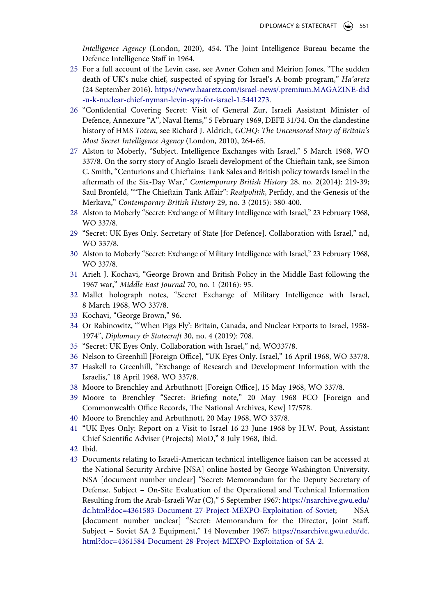*Intelligence Agency* (London, 2020), 454. The Joint Intelligence Bureau became the Defence Intelligence Staff in 1964.

- <span id="page-22-0"></span>25 For a full account of the Levin case, see Avner Cohen and Meirion Jones, "The sudden death of UK's nuke chief, suspected of spying for Israel's A-bomb program," *Ha'aretz*  (24 September 2016). [https://www.haaretz.com/israel-news/.premium.MAGAZINE-did](https://www.haaretz.com/israel-news/.premium.MAGAZINE-did-u-k-nuclear-chief-nyman-levin-spy-for-israel-1.5441273)  [-u-k-nuclear-chief-nyman-levin-spy-for-israel-1.5441273.](https://www.haaretz.com/israel-news/.premium.MAGAZINE-did-u-k-nuclear-chief-nyman-levin-spy-for-israel-1.5441273)
- <span id="page-22-1"></span>26 "Confidential Covering Secret: Visit of General Zur, Israeli Assistant Minister of Defence, Annexure "A", Naval Items," 5 February 1969, DEFE 31/34. On the clandestine history of HMS *Totem*, see Richard J. Aldrich, *GCHQ: The Uncensored Story of Britain's Most Secret Intelligence Agency* (London, 2010), 264-65.
- <span id="page-22-2"></span>27 Alston to Moberly, "Subject. Intelligence Exchanges with Israel," 5 March 1968, WO 337/8. On the sorry story of Anglo-Israeli development of the Chieftain tank, see Simon C. Smith, "Centurions and Chieftains: Tank Sales and British policy towards Israel in the aftermath of the Six-Day War," *Contemporary British History* 28, no. 2(2014): 219-39; Saul Bronfeld, ""The Chieftain Tank Affair": *Realpolitik*, Perfidy, and the Genesis of the Merkava," *Contemporary British History* 29, no. 3 (2015): 380-400.
- <span id="page-22-3"></span>28 Alston to Moberly "Secret: Exchange of Military Intelligence with Israel," 23 February 1968, WO 337/8.
- <span id="page-22-4"></span>29 "Secret: UK Eyes Only. Secretary of State [for Defence]. Collaboration with Israel," nd, WO 337/8.
- <span id="page-22-5"></span>30 Alston to Moberly "Secret: Exchange of Military Intelligence with Israel," 23 February 1968, WO 337/8.
- <span id="page-22-6"></span>31 Arieh J. Kochavi, "George Brown and British Policy in the Middle East following the 1967 war," *Middle East Journal* 70, no. 1 (2016): 95.
- <span id="page-22-7"></span>32 Mallet holograph notes, "Secret Exchange of Military Intelligence with Israel, 8 March 1968, WO 337/8.
- <span id="page-22-8"></span>33 Kochavi, "George Brown," 96.
- <span id="page-22-9"></span>34 Or Rabinowitz, "'When Pigs Fly': Britain, Canada, and Nuclear Exports to Israel, 1958- 1974", *Diplomacy & Statecraft* 30, no. 4 (2019): 708.
- <span id="page-22-10"></span>35 "Secret: UK Eyes Only. Collaboration with Israel," nd, WO337/8.
- <span id="page-22-11"></span>36 Nelson to Greenhill [Foreign Office], "UK Eyes Only. Israel," 16 April 1968, WO 337/8.
- <span id="page-22-12"></span>37 Haskell to Greenhill, "Exchange of Research and Development Information with the Israelis," 18 April 1968, WO 337/8.
- <span id="page-22-13"></span>38 Moore to Brenchley and Arbuthnott [Foreign Office], 15 May 1968, WO 337/8.
- <span id="page-22-14"></span>39 Moore to Brenchley "Secret: Briefing note," 20 May 1968 FCO [Foreign and Commonwealth Office Records, The National Archives, Kew] 17/578.
- <span id="page-22-15"></span>40 Moore to Brenchley and Arbuthnott, 20 May 1968, WO 337/8.
- <span id="page-22-16"></span>41 "UK Eyes Only: Report on a Visit to Israel 16-23 June 1968 by H.W. Pout, Assistant Chief Scientific Adviser (Projects) MoD," 8 July 1968, Ibid.
- <span id="page-22-17"></span>42 Ibid.
- <span id="page-22-18"></span>43 Documents relating to Israeli-American technical intelligence liaison can be accessed at the National Security Archive [NSA] online hosted by George Washington University. NSA [document number unclear] "Secret: Memorandum for the Deputy Secretary of Defense. Subject – On-Site Evaluation of the Operational and Technical Information Resulting from the Arab-Israeli War (C)," 5 September 1967: [https://nsarchive.gwu.edu/](https://nsarchive.gwu.edu/dc.html?doc=4361583-Document-27-Project-MEXPO-Exploitation-of-Soviet)  [dc.html?doc=4361583-Document-27-Project-MEXPO-Exploitation-of-Soviet;](https://nsarchive.gwu.edu/dc.html?doc=4361583-Document-27-Project-MEXPO-Exploitation-of-Soviet) NSA [document number unclear] "Secret: Memorandum for the Director, Joint Staff. Subject – Soviet SA 2 Equipment," 14 November 1967: [https://nsarchive.gwu.edu/dc.](https://nsarchive.gwu.edu/dc.html?doc=4361584-Document-28-Project-MEXPO-Exploitation-of-SA-2) [html?doc=4361584-Document-28-Project-MEXPO-Exploitation-of-SA-2](https://nsarchive.gwu.edu/dc.html?doc=4361584-Document-28-Project-MEXPO-Exploitation-of-SA-2).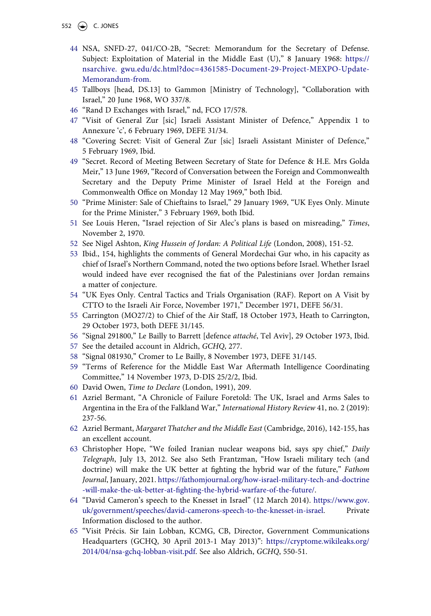552  $\left(\bigcirc\right)$  C. JONES

- <span id="page-23-0"></span>44 NSA, SNFD-27, 041/CO-2B, "Secret: Memorandum for the Secretary of Defense. Subject: Exploitation of Material in the Middle East (U)," 8 January 1968: [https://](https://nsarchive.%A0gwu.edu/dc.html?doc=4361585-Document-29-Project-MEXPO-Update-Memorandum-from) [nsarchive. gwu.edu/dc.html?doc=4361585-Document-29-Project-MEXPO-Update-](https://nsarchive.%A0gwu.edu/dc.html?doc=4361585-Document-29-Project-MEXPO-Update-Memorandum-from)[Memorandum-from.](https://nsarchive.%A0gwu.edu/dc.html?doc=4361585-Document-29-Project-MEXPO-Update-Memorandum-from)
- <span id="page-23-1"></span>45 Tallboys [head, DS.13] to Gammon [Ministry of Technology], "Collaboration with Israel," 20 June 1968, WO 337/8.
- <span id="page-23-2"></span>46 "Rand D Exchanges with Israel," nd, FCO 17/578.
- <span id="page-23-3"></span>47 "Visit of General Zur [sic] Israeli Assistant Minister of Defence," Appendix 1 to Annexure 'c', 6 February 1969, DEFE 31/34.
- <span id="page-23-4"></span>48 "Covering Secret: Visit of General Zur [sic] Israeli Assistant Minister of Defence," 5 February 1969, Ibid.
- <span id="page-23-5"></span>49 "Secret. Record of Meeting Between Secretary of State for Defence & H.E. Mrs Golda Meir," 13 June 1969, "Record of Conversation between the Foreign and Commonwealth Secretary and the Deputy Prime Minister of Israel Held at the Foreign and Commonwealth Office on Monday 12 May 1969," both Ibid.
- <span id="page-23-6"></span>50 "Prime Minister: Sale of Chieftains to Israel," 29 January 1969, "UK Eyes Only. Minute for the Prime Minister," 3 February 1969, both Ibid.
- <span id="page-23-7"></span>51 See Louis Heren, "Israel rejection of Sir Alec's plans is based on misreading," *Times*, November 2, 1970.
- <span id="page-23-8"></span>52 See Nigel Ashton, *King Hussein of Jordan: A Political Life* (London, 2008), 151-52.
- <span id="page-23-9"></span>53 Ibid., 154, highlights the comments of General Mordechai Gur who, in his capacity as chief of Israel's Northern Command, noted the two options before Israel. Whether Israel would indeed have ever recognised the fiat of the Palestinians over Jordan remains a matter of conjecture.
- <span id="page-23-10"></span>54 "UK Eyes Only. Central Tactics and Trials Organisation (RAF). Report on A Visit by CTTO to the Israeli Air Force, November 1971," December 1971, DEFE 56/31.
- <span id="page-23-11"></span>55 Carrington (MO27/2) to Chief of the Air Staff, 18 October 1973, Heath to Carrington, 29 October 1973, both DEFE 31/145.
- <span id="page-23-12"></span>56 "Signal 291800," Le Bailly to Barrett [defence *attaché*, Tel Aviv], 29 October 1973, Ibid.
- <span id="page-23-13"></span>57 See the detailed account in Aldrich, *GCHQ*, 277.
- <span id="page-23-14"></span>58 "Signal 081930," Cromer to Le Bailly, 8 November 1973, DEFE 31/145.
- <span id="page-23-15"></span>59 "Terms of Reference for the Middle East War Aftermath Intelligence Coordinating Committee," 14 November 1973, D-DIS 25/2/2, Ibid.
- <span id="page-23-16"></span>60 David Owen, *Time to Declare* (London, 1991), 209.
- <span id="page-23-17"></span>61 Azriel Bermant, "A Chronicle of Failure Foretold: The UK, Israel and Arms Sales to Argentina in the Era of the Falkland War," *International History Review* 41, no. 2 (2019): 237-56.
- <span id="page-23-18"></span>62 Azriel Bermant, *Margaret Thatcher and the Middle East* (Cambridge, 2016), 142-155, has an excellent account.
- <span id="page-23-19"></span>63 Christopher Hope, "We foiled Iranian nuclear weapons bid, says spy chief," *Daily Telegraph*, July 13, 2012. See also Seth Frantzman, "How Israeli military tech (and doctrine) will make the UK better at fighting the hybrid war of the future," *Fathom Journal*, January, 2021. [https://fathomjournal.org/how-israel-military-tech-and-doctrine](https://fathomjournal.org/how-israel-military-tech-and-doctrine-will-make-the-uk-better-at-fighting-the-hybrid-warfare-of-the-future/)  [-will-make-the-uk-better-at-fighting-the-hybrid-warfare-of-the-future/.](https://fathomjournal.org/how-israel-military-tech-and-doctrine-will-make-the-uk-better-at-fighting-the-hybrid-warfare-of-the-future/)
- <span id="page-23-20"></span>64 "David Cameron's speech to the Knesset in Israel" (12 March 2014). [https://www.gov.](https://www.gov.uk/government/speeches/david-camerons-speech-to-the-knesset-in-israel) [uk/government/speeches/david-camerons-speech-to-the-knesset-in-israel](https://www.gov.uk/government/speeches/david-camerons-speech-to-the-knesset-in-israel). Private Information disclosed to the author.
- <span id="page-23-21"></span>65 "Visit Précis. Sir Iain Lobban, KCMG, CB, Director, Government Communications Headquarters (GCHQ, 30 April 2013-1 May 2013)": [https://cryptome.wikileaks.org/](https://cryptome.wikileaks.org/2014/04/nsa-gchq-lobban-visit.pdf) [2014/04/nsa-gchq-lobban-visit.pdf](https://cryptome.wikileaks.org/2014/04/nsa-gchq-lobban-visit.pdf). See also Aldrich, *GCHQ*, 550-51.